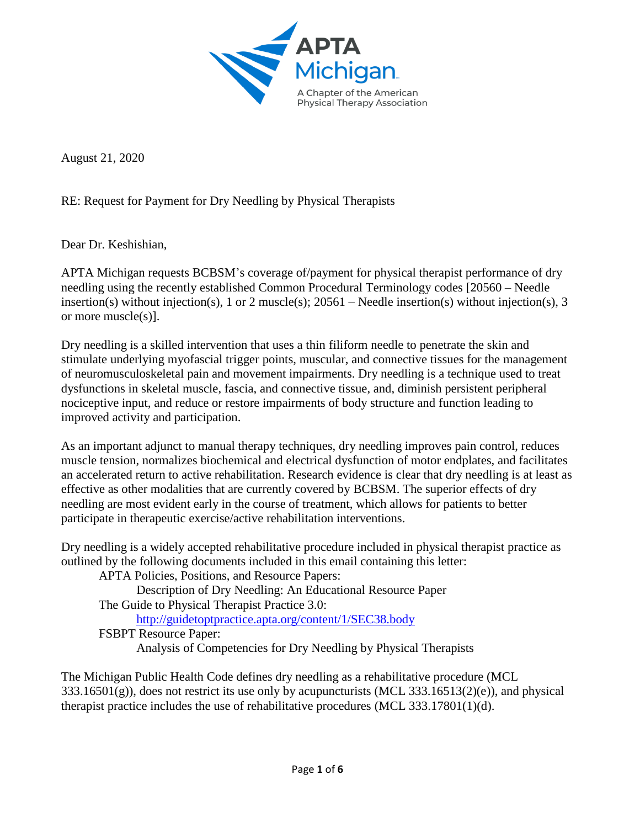

August 21, 2020

RE: Request for Payment for Dry Needling by Physical Therapists

Dear Dr. Keshishian,

APTA Michigan requests BCBSM's coverage of/payment for physical therapist performance of dry needling using the recently established Common Procedural Terminology codes [20560 – Needle insertion(s) without injection(s), 1 or 2 muscle(s); 20561 – Needle insertion(s) without injection(s), 3 or more muscle(s)].

Dry needling is a skilled intervention that uses a thin filiform needle to penetrate the skin and stimulate underlying myofascial trigger points, muscular, and connective tissues for the management of neuromusculoskeletal pain and movement impairments. Dry needling is a technique used to treat dysfunctions in skeletal muscle, fascia, and connective tissue, and, diminish persistent peripheral nociceptive input, and reduce or restore impairments of body structure and function leading to improved activity and participation.

As an important adjunct to manual therapy techniques, dry needling improves pain control, reduces muscle tension, normalizes biochemical and electrical dysfunction of motor endplates, and facilitates an accelerated return to active rehabilitation. Research evidence is clear that dry needling is at least as effective as other modalities that are currently covered by BCBSM. The superior effects of dry needling are most evident early in the course of treatment, which allows for patients to better participate in therapeutic exercise/active rehabilitation interventions.

Dry needling is a widely accepted rehabilitative procedure included in physical therapist practice as outlined by the following documents included in this email containing this letter:

APTA Policies, Positions, and Resource Papers: Description of Dry Needling: An Educational Resource Paper The Guide to Physical Therapist Practice 3.0: <http://guidetoptpractice.apta.org/content/1/SEC38.body> FSBPT Resource Paper: Analysis of Competencies for Dry Needling by Physical Therapists

The Michigan Public Health Code defines dry needling as a rehabilitative procedure (MCL  $333.16501(g)$ , does not restrict its use only by acupuncturists (MCL 333.16513(2)(e)), and physical therapist practice includes the use of rehabilitative procedures (MCL 333.17801(1)(d).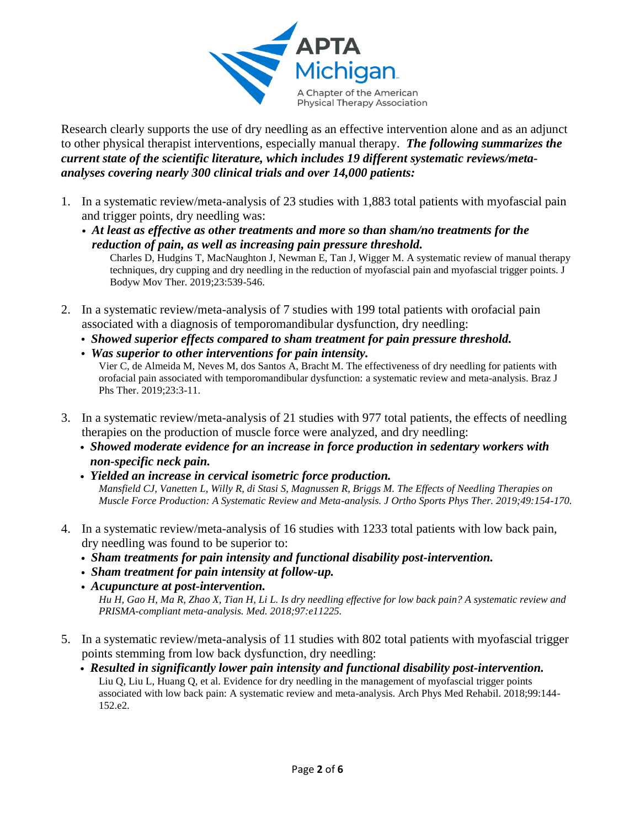

Research clearly supports the use of dry needling as an effective intervention alone and as an adjunct to other physical therapist interventions, especially manual therapy. *The following summarizes the current state of the scientific literature, which includes 19 different systematic reviews/metaanalyses covering nearly 300 clinical trials and over 14,000 patients:*

- 1. In a systematic review/meta-analysis of 23 studies with 1,883 total patients with myofascial pain and trigger points, dry needling was:
	- *At least as effective as other treatments and more so than sham/no treatments for the reduction of pain, as well as increasing pain pressure threshold.* Charles D, Hudgins T, MacNaughton J, Newman E, Tan J, Wigger M. A systematic review of manual therapy

techniques, dry cupping and dry needling in the reduction of myofascial pain and myofascial trigger points. J Bodyw Mov Ther. 2019;23:539-546.

- 2. In a systematic review/meta-analysis of 7 studies with 199 total patients with orofacial pain associated with a diagnosis of temporomandibular dysfunction, dry needling:
	- *Showed superior effects compared to sham treatment for pain pressure threshold.*
	- *Was superior to other interventions for pain intensity.* Vier C, de Almeida M, Neves M, dos Santos A, Bracht M. The effectiveness of dry needling for patients with orofacial pain associated with temporomandibular dysfunction: a systematic review and meta-analysis. Braz J Phs Ther. 2019;23:3-11.
- 3. In a systematic review/meta-analysis of 21 studies with 977 total patients, the effects of needling therapies on the production of muscle force were analyzed, and dry needling:
	- *Showed moderate evidence for an increase in force production in sedentary workers with non-specific neck pain.*
	- *Yielded an increase in cervical isometric force production. Mansfield CJ, Vanetten L, Willy R, di Stasi S, Magnussen R, Briggs M. The Effects of Needling Therapies on Muscle Force Production: A Systematic Review and Meta-analysis. J Ortho Sports Phys Ther. 2019;49:154-170.*
- 4. In a systematic review/meta-analysis of 16 studies with 1233 total patients with low back pain, dry needling was found to be superior to:
	- *Sham treatments for pain intensity and functional disability post-intervention.*
	- *Sham treatment for pain intensity at follow-up.*

• *Acupuncture at post-intervention. Hu H, Gao H, Ma R, Zhao X, Tian H, Li L. Is dry needling effective for low back pain? A systematic review and PRISMA-compliant meta-analysis. Med. 2018;97:e11225.*

- 5. In a systematic review/meta-analysis of 11 studies with 802 total patients with myofascial trigger points stemming from low back dysfunction, dry needling:
	- *Resulted in significantly lower pain intensity and functional disability post-intervention.*  Liu Q, Liu L, Huang Q, et al. Evidence for dry needling in the management of myofascial trigger points associated with low back pain: A systematic review and meta-analysis. Arch Phys Med Rehabil. 2018;99:144- 152.e2.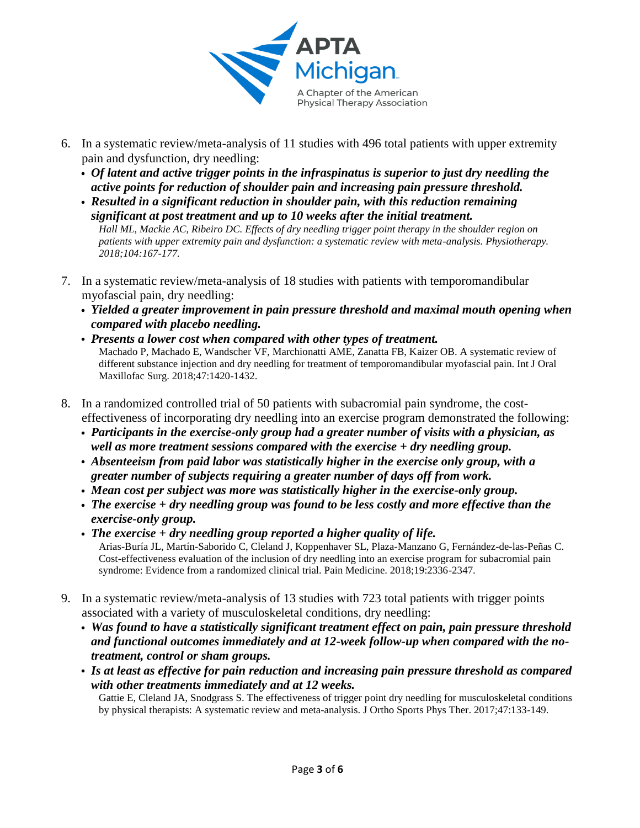

- 6. In a systematic review/meta-analysis of 11 studies with 496 total patients with upper extremity pain and dysfunction, dry needling:
	- *Of latent and active trigger points in the infraspinatus is superior to just dry needling the active points for reduction of shoulder pain and increasing pain pressure threshold.*
	- *Resulted in a significant reduction in shoulder pain, with this reduction remaining significant at post treatment and up to 10 weeks after the initial treatment. Hall ML, Mackie AC, Ribeiro DC. Effects of dry needling trigger point therapy in the shoulder region on patients with upper extremity pain and dysfunction: a systematic review with meta-analysis. Physiotherapy. 2018;104:167-177.*
- 7. In a systematic review/meta-analysis of 18 studies with patients with temporomandibular myofascial pain, dry needling:
	- *Yielded a greater improvement in pain pressure threshold and maximal mouth opening when compared with placebo needling.*
	- *Presents a lower cost when compared with other types of treatment.*  Machado P, Machado E, Wandscher VF, Marchionatti AME, Zanatta FB, Kaizer OB. A systematic review of different substance injection and dry needling for treatment of temporomandibular myofascial pain. Int J Oral Maxillofac Surg. 2018;47:1420-1432.
- 8. In a randomized controlled trial of 50 patients with subacromial pain syndrome, the costeffectiveness of incorporating dry needling into an exercise program demonstrated the following:
	- *Participants in the exercise-only group had a greater number of visits with a physician, as well as more treatment sessions compared with the exercise + dry needling group.*
	- *Absenteeism from paid labor was statistically higher in the exercise only group, with a greater number of subjects requiring a greater number of days off from work.*
	- *Mean cost per subject was more was statistically higher in the exercise-only group.*
	- *The exercise + dry needling group was found to be less costly and more effective than the exercise-only group.*
	- *The exercise + dry needling group reported a higher quality of life.*  Arias-Buría JL, Martín-Saborido C, Cleland J, Koppenhaver SL, Plaza-Manzano G, Fernández-de-las-Peñas C. Cost-effectiveness evaluation of the inclusion of dry needling into an exercise program for subacromial pain syndrome: Evidence from a randomized clinical trial. Pain Medicine. 2018;19:2336-2347.
- 9. In a systematic review/meta-analysis of 13 studies with 723 total patients with trigger points associated with a variety of musculoskeletal conditions, dry needling:
	- *Was found to have a statistically significant treatment effect on pain, pain pressure threshold and functional outcomes immediately and at 12-week follow-up when compared with the notreatment, control or sham groups.*
	- *Is at least as effective for pain reduction and increasing pain pressure threshold as compared with other treatments immediately and at 12 weeks.* Gattie E, Cleland JA, Snodgrass S. The effectiveness of trigger point dry needling for musculoskeletal conditions by physical therapists: A systematic review and meta-analysis. J Ortho Sports Phys Ther. 2017;47:133-149.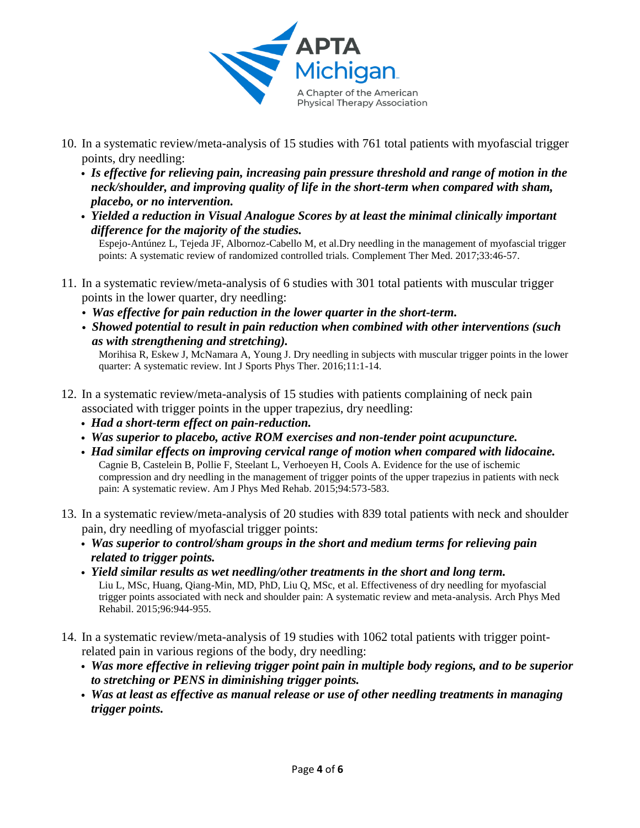

- 10. In a systematic review/meta-analysis of 15 studies with 761 total patients with myofascial trigger points, dry needling:
	- *Is effective for relieving pain, increasing pain pressure threshold and range of motion in the neck/shoulder, and improving quality of life in the short-term when compared with sham, placebo, or no intervention.*
	- *Yielded a reduction in Visual Analogue Scores by at least the minimal clinically important difference for the majority of the studies.*

Espejo-Antúnez L, Tejeda JF, Albornoz-Cabello M, et al.Dry needling in the management of myofascial trigger points: A systematic review of randomized controlled trials. Complement Ther Med. 2017;33:46-57.

- 11. In a systematic review/meta-analysis of 6 studies with 301 total patients with muscular trigger points in the lower quarter, dry needling:
	- *Was effective for pain reduction in the lower quarter in the short-term.*
	- *Showed potential to result in pain reduction when combined with other interventions (such as with strengthening and stretching).*

Morihisa R, Eskew J, McNamara A, Young J. Dry needling in subjects with muscular trigger points in the lower quarter: A systematic review. Int J Sports Phys Ther. 2016;11:1-14.

- 12. In a systematic review/meta-analysis of 15 studies with patients complaining of neck pain associated with trigger points in the upper trapezius, dry needling:
	- *Had a short-term effect on pain-reduction.*
	- *Was superior to placebo, active ROM exercises and non-tender point acupuncture.*
	- *Had similar effects on improving cervical range of motion when compared with lidocaine.*  Cagnie B, Castelein B, Pollie F, Steelant L, Verhoeyen H, Cools A. Evidence for the use of ischemic compression and dry needling in the management of trigger points of the upper trapezius in patients with neck pain: A systematic review. Am J Phys Med Rehab. 2015;94:573-583.
- 13. In a systematic review/meta-analysis of 20 studies with 839 total patients with neck and shoulder pain, dry needling of myofascial trigger points:
	- *Was superior to control/sham groups in the short and medium terms for relieving pain related to trigger points.*
	- *Yield similar results as wet needling/other treatments in the short and long term.*  Liu L, MSc, Huang, Qiang-Min, MD, PhD, Liu Q, MSc, et al. Effectiveness of dry needling for myofascial trigger points associated with neck and shoulder pain: A systematic review and meta-analysis. Arch Phys Med Rehabil. 2015;96:944-955.
- 14. In a systematic review/meta-analysis of 19 studies with 1062 total patients with trigger pointrelated pain in various regions of the body, dry needling:
	- *Was more effective in relieving trigger point pain in multiple body regions, and to be superior to stretching or PENS in diminishing trigger points.*
	- *Was at least as effective as manual release or use of other needling treatments in managing trigger points.*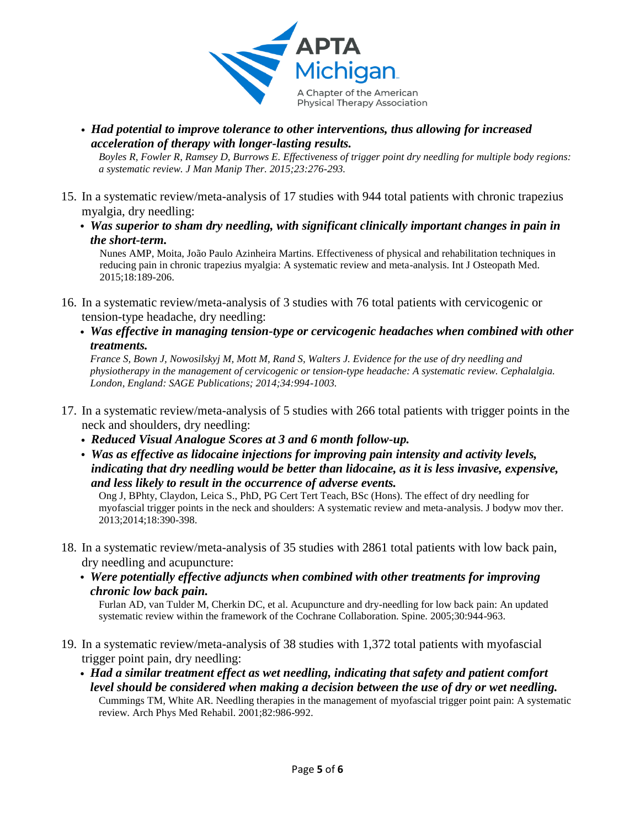

- *Had potential to improve tolerance to other interventions, thus allowing for increased acceleration of therapy with longer-lasting results. Boyles R, Fowler R, Ramsey D, Burrows E. Effectiveness of trigger point dry needling for multiple body regions: a systematic review. J Man Manip Ther. 2015;23:276-293.*
- 15. In a systematic review/meta-analysis of 17 studies with 944 total patients with chronic trapezius myalgia, dry needling:
	- *Was superior to sham dry needling, with significant clinically important changes in pain in the short-term.*

Nunes AMP, Moita, João Paulo Azinheira Martins. Effectiveness of physical and rehabilitation techniques in reducing pain in chronic trapezius myalgia: A systematic review and meta-analysis. Int J Osteopath Med. 2015;18:189-206.

- 16. In a systematic review/meta-analysis of 3 studies with 76 total patients with cervicogenic or tension-type headache, dry needling:
	- *Was effective in managing tension-type or cervicogenic headaches when combined with other treatments.*

*France S, Bown J, Nowosilskyj M, Mott M, Rand S, Walters J. Evidence for the use of dry needling and physiotherapy in the management of cervicogenic or tension-type headache: A systematic review. Cephalalgia. London, England: SAGE Publications; 2014;34:994-1003.*

- 17. In a systematic review/meta-analysis of 5 studies with 266 total patients with trigger points in the neck and shoulders, dry needling:
	- *Reduced Visual Analogue Scores at 3 and 6 month follow-up.*
	- *Was as effective as lidocaine injections for improving pain intensity and activity levels, indicating that dry needling would be better than lidocaine, as it is less invasive, expensive, and less likely to result in the occurrence of adverse events.*

Ong J, BPhty, Claydon, Leica S., PhD, PG Cert Tert Teach, BSc (Hons). The effect of dry needling for myofascial trigger points in the neck and shoulders: A systematic review and meta-analysis. J bodyw mov ther. 2013;2014;18:390-398.

- 18. In a systematic review/meta-analysis of 35 studies with 2861 total patients with low back pain, dry needling and acupuncture:
	- *Were potentially effective adjuncts when combined with other treatments for improving chronic low back pain.*

Furlan AD, van Tulder M, Cherkin DC, et al. Acupuncture and dry-needling for low back pain: An updated systematic review within the framework of the Cochrane Collaboration. Spine. 2005;30:944-963.

- 19. In a systematic review/meta-analysis of 38 studies with 1,372 total patients with myofascial trigger point pain, dry needling:
	- *Had a similar treatment effect as wet needling, indicating that safety and patient comfort level should be considered when making a decision between the use of dry or wet needling.*  Cummings TM, White AR. Needling therapies in the management of myofascial trigger point pain: A systematic review. Arch Phys Med Rehabil. 2001;82:986-992.